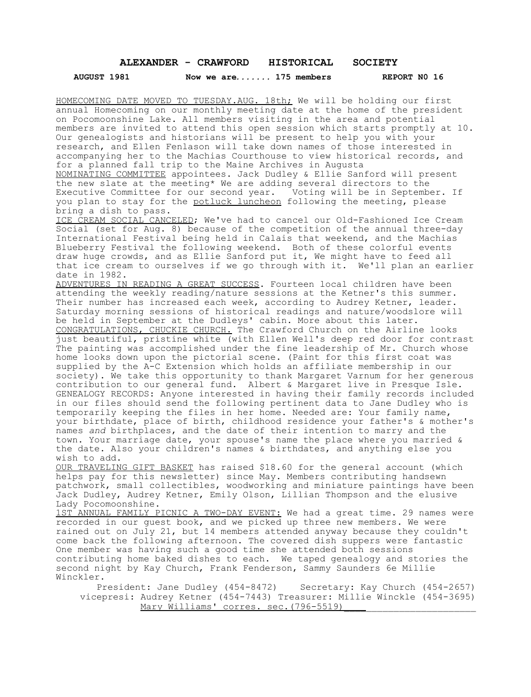## **ALEXANDER - CRAWFORD HISTORICAL SOCIETY**

**AUGUST 1981 Now we are***.......* **175 members REPORT N0 16**

HOMECOMING DATE MOVED TO TUESDAY.AUG. 18th; We will be holding our first annual Homecoming on our monthly meeting date at the home of the president on Pocomoonshine Lake. All members visiting in the area and potential members are invited to attend this open session which starts promptly at 10. Our genealogists and historians will be present to help you with your research, and Ellen Fenlason will take down names of those interested in accompanying her to the Machias Courthouse to view historical records, and for a planned fall trip to the Maine Archives in Augusta

NOMINATING COMMITTEE appointees. Jack Dudley & Ellie Sanford will present the new slate at the meeting\* We are adding several directors to the Executive Committee for our second year. Voting will be in September. If you plan to stay for the potluck luncheon following the meeting, please bring a dish to pass.

ICE CREAM SOCIAL CANCELED; We've had to cancel our Old-Fashioned Ice Cream Social (set for Aug. 8) because of the competition of the annual three-day International Festival being held in Calais that weekend, and the Machias Blueberry Festival the following weekend. Both of these colorful events draw huge crowds, and as Ellie Sanford put it, We might have to feed all that ice cream to ourselves if we go through with it. We'll plan an earlier date in 1982.

ADVENTURES IN READING A GREAT SUCCESS. Fourteen local children have been attending the weekly reading/nature sessions at the Ketner's this summer. Their number has increased each week, according to Audrey Ketner, leader. Saturday morning sessions of historical readings and nature/woodslore will be held in September at the Dudleys' cabin. More about this later. CONGRATULATIONS, CHUCKIE CHURCH. The Crawford Church on the Airline looks just beautiful, pristine white (with Ellen Well's deep red door for contrast The painting was accomplished under the fine leadership of Mr. Church whose home looks down upon the pictorial scene. (Paint for this first coat was supplied by the A-C Extension which holds an affiliate membership in our society). We take this opportunity to thank Margaret Varnum for her generous contribution to our general fund. Albert & Margaret live in Presque Isle. GENEALOGY RECORDS: Anyone interested in having their family records included in our files should send the following pertinent data to Jane Dudley who is temporarily keeping the files in her home. Needed are: Your family name, your birthdate, place of birth, childhood residence your father's & mother's names *and* birthplaces, and the date of their intention to marry and the town. Your marriage date, your spouse's name the place where you married & the date. Also your children's names & birthdates, and anything else you wish to add.

OUR TRAVELING GIFT BASKET has raised \$18.60 for the general account (which helps pay for this newsletter) since May. Members contributing handsewn patchwork, small collectibles, woodworking and miniature paintings have been Jack Dudley, Audrey Ketner, Emily Olson, Lillian Thompson and the elusive Lady Pocomoonshine.

1ST ANNUAL FAMILY PICNIC A TWO-DAY EVENT: We had a great time. 29 names were recorded in our guest book, and we picked up three new members. We were rained out on July 21, but 14 members attended anyway because they couldn't come back the following afternoon. The covered dish suppers were fantastic One member was having such a good time she attended both sessions contributing home baked dishes to each. We taped genealogy and stories the second night by Kay Church, Frank Fenderson, Sammy Saunders 6e Millie Winckler.

President: Jane Dudley (454-8472) Secretary: Kay Church (454-2657) vicepresi: Audrey Ketner (454-7443) Treasurer: Millie Winckle (454-3695) Mary Williams' corres. sec. (796-5519)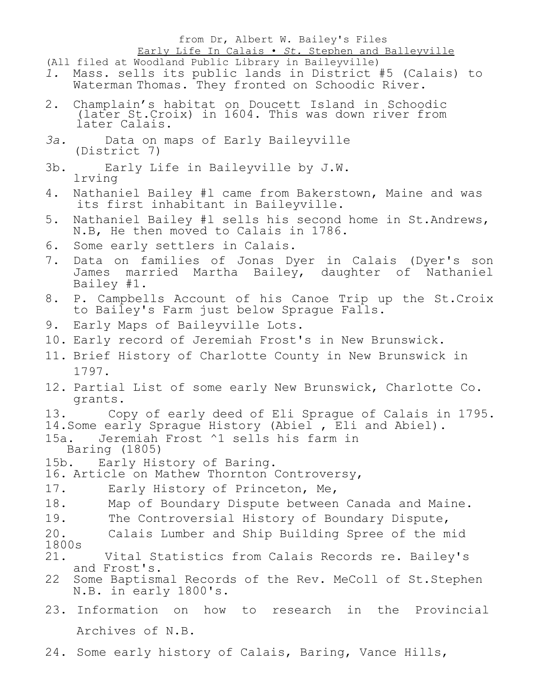## from Dr, Albert W. Bailey's Files Early Life In Calais • *St.* Stephen and Balleyville

(All filed at Woodland Public Library in Baileyville)

- *1.* Mass. sells its public lands in District #5 (Calais) to Waterman Thomas. They fronted on Schoodic River.
- 2. Champlain's habitat on Doucett Island in Schoodic (later St.Croix) in 1604. This was down river from later Calais.
- *3a.* Data on maps of Early Baileyville (District 7)
- 3b. Early Life in Baileyville by J.W. lrving
- 4. Nathaniel Bailey #l came from Bakerstown, Maine and was its first inhabitant in Baileyville.
- 5. Nathaniel Bailey #l sells his second home in St.Andrews, N.B, He then moved to Calais in 1786.
- 6. Some early settlers in Calais.
- 7. Data on families of Jonas Dyer in Calais (Dyer's son James married Martha Bailey, daughter of Nathaniel Bailey #1.
- 8. P. Campbells Account of his Canoe Trip up the St.Croix to Bailey's Farm just below Sprague Falls.
- 9. Early Maps of Baileyville Lots.
- 10. Early record of Jeremiah Frost's in New Brunswick.
- 11. Brief History of Charlotte County in New Brunswick in 1797.
- 12. Partial List of some early New Brunswick, Charlotte Co. grants.
- 13. Copy of early deed of Eli Sprague of Calais in 1795.

14.Some early Sprague History (Abiel , Eli and Abiel).

- 15a. Jeremiah Frost ^1 sells his farm in Baring (1805)
- 15b. Early History of Baring.

16. Article on Mathew Thornton Controversy,

- 17. Early History of Princeton, Me,
- 18. Map of Boundary Dispute between Canada and Maine.
- 19. The Controversial History of Boundary Dispute,
- 20. Calais Lumber and Ship Building Spree of the mid 1800s
- Vital Statistics from Calais Records re. Bailey's and Frost's.
- 22 Some Baptismal Records of the Rev. MeColl of St.Stephen N.B. in early 1800's.
- 23. Information on how to research in the Provincial Archives of N.B.
- 24. Some early history of Calais, Baring, Vance Hills,